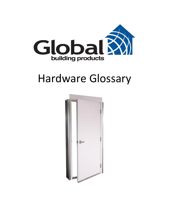

# Hardware Glossary

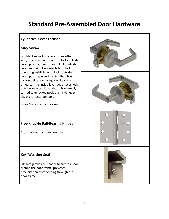# **Standard Pre-Assembled Door Hardware**

# **Cylindrical Lever Lockset** *Entry Function* Latchbolt retracts via lever from either side, except when thumbturn locks outside lever; pushing thumbturn in locks outside lever, requiring key outside to unlock; operating inside lever unlocks outside lever; pushing in and turning thumbturn locks outside lever, requiring key at all times; turning inside lever does not unlock outside lever until thumbturn is manually turned to unlocked position; inside lever always retracts latchbolt *\*other function options available* **Five-Knuckle Ball-Bearing Hinges** Attaches door jamb to door leaf **Kerf Weather Seal** Fits into jambs and header to create a seal around the door frame; prevents precipitation from seeping through the door frame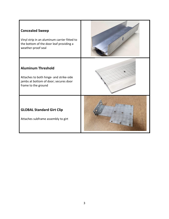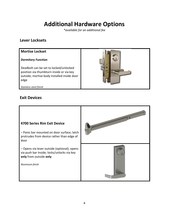# **Additional Hardware Options**

*\*available for an additional fee*

### **Lever Locksets**

#### **Mortise Lockset**

#### *Dormitory Function*

Deadbolt can be set to locked/unlocked position via thumbturn inside or via key outside; mortise body installed inside door edge



*Stainless-steel finish*

### **Exit Devices**

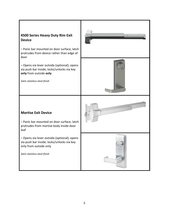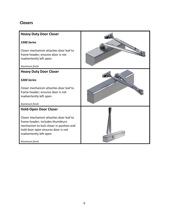## **Closers**

| <b>Heavy Duty Door Closer</b>                                                                                                                                                           |  |
|-----------------------------------------------------------------------------------------------------------------------------------------------------------------------------------------|--|
| 5300 Series                                                                                                                                                                             |  |
| Closer mechanism attaches door leaf to<br>frame header; ensures door is not<br>inadvertently left open                                                                                  |  |
| Aluminum finish                                                                                                                                                                         |  |
| <b>Heavy Duty Door Closer</b>                                                                                                                                                           |  |
| 5200 Series                                                                                                                                                                             |  |
| Closer mechanism attaches door leaf to                                                                                                                                                  |  |
| frame header; ensures door is not                                                                                                                                                       |  |
| inadvertently left open                                                                                                                                                                 |  |
| Aluminum finish                                                                                                                                                                         |  |
| <b>Hold-Open Door Closer</b>                                                                                                                                                            |  |
| Closer mechanism attaches door leaf to<br>frame header; includes thumbturn<br>mechanism to lock closer in position and<br>hold door open ensures door is not<br>inadvertently left open |  |
| Aluminum finish                                                                                                                                                                         |  |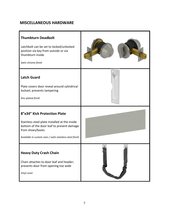### **MISCELLANEOUS HARDWARE**

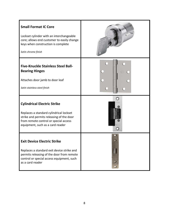| <b>Small Format IC Core</b><br>Lockset cylinder with an interchangeable<br>core; allows end customer to easily change<br>keys when construction is complete<br>Satin chrome finish                     |  |
|--------------------------------------------------------------------------------------------------------------------------------------------------------------------------------------------------------|--|
| <b>Five-Knuckle Stainless Steel Ball-</b><br><b>Bearing Hinges</b><br>Attaches door jamb to door leaf<br>Satin stainless-steel finish                                                                  |  |
| <b>Cylindrical Electric Strike</b><br>Replaces a standard cylindrical lockset<br>strike and permits releasing of the door<br>from remote control or special access<br>equipment, such as a card reader |  |
| <b>Exit Device Electric Strike</b><br>Replaces a standard exit device strike and<br>permits releasing of the door from remote<br>control or special access equipment, such<br>as a card reader         |  |